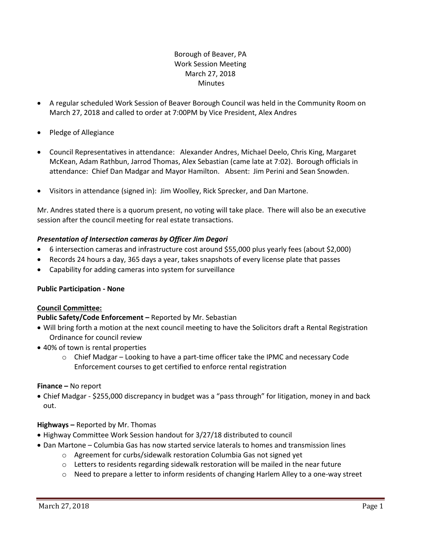# Borough of Beaver, PA Work Session Meeting March 27, 2018 Minutes

- A regular scheduled Work Session of Beaver Borough Council was held in the Community Room on March 27, 2018 and called to order at 7:00PM by Vice President, Alex Andres
- Pledge of Allegiance
- Council Representatives in attendance: Alexander Andres, Michael Deelo, Chris King, Margaret McKean, Adam Rathbun, Jarrod Thomas, Alex Sebastian (came late at 7:02). Borough officials in attendance: Chief Dan Madgar and Mayor Hamilton. Absent: Jim Perini and Sean Snowden.
- Visitors in attendance (signed in): Jim Woolley, Rick Sprecker, and Dan Martone.

Mr. Andres stated there is a quorum present, no voting will take place. There will also be an executive session after the council meeting for real estate transactions.

### *Presentation of Intersection cameras by Officer Jim Degori*

- 6 intersection cameras and infrastructure cost around \$55,000 plus yearly fees (about \$2,000)
- Records 24 hours a day, 365 days a year, takes snapshots of every license plate that passes
- Capability for adding cameras into system for surveillance

### **Public Participation - None**

### **Council Committee:**

### **Public Safety/Code Enforcement –** Reported by Mr. Sebastian

- Will bring forth a motion at the next council meeting to have the Solicitors draft a Rental Registration Ordinance for council review
- 40% of town is rental properties
	- $\circ$  Chief Madgar Looking to have a part-time officer take the IPMC and necessary Code Enforcement courses to get certified to enforce rental registration

### **Finance –** No report

 Chief Madgar - \$255,000 discrepancy in budget was a "pass through" for litigation, money in and back out.

### **Highways –** Reported by Mr. Thomas

- Highway Committee Work Session handout for 3/27/18 distributed to council
- Dan Martone Columbia Gas has now started service laterals to homes and transmission lines
	- o Agreement for curbs/sidewalk restoration Columbia Gas not signed yet
	- o Letters to residents regarding sidewalk restoration will be mailed in the near future
	- $\circ$  Need to prepare a letter to inform residents of changing Harlem Alley to a one-way street